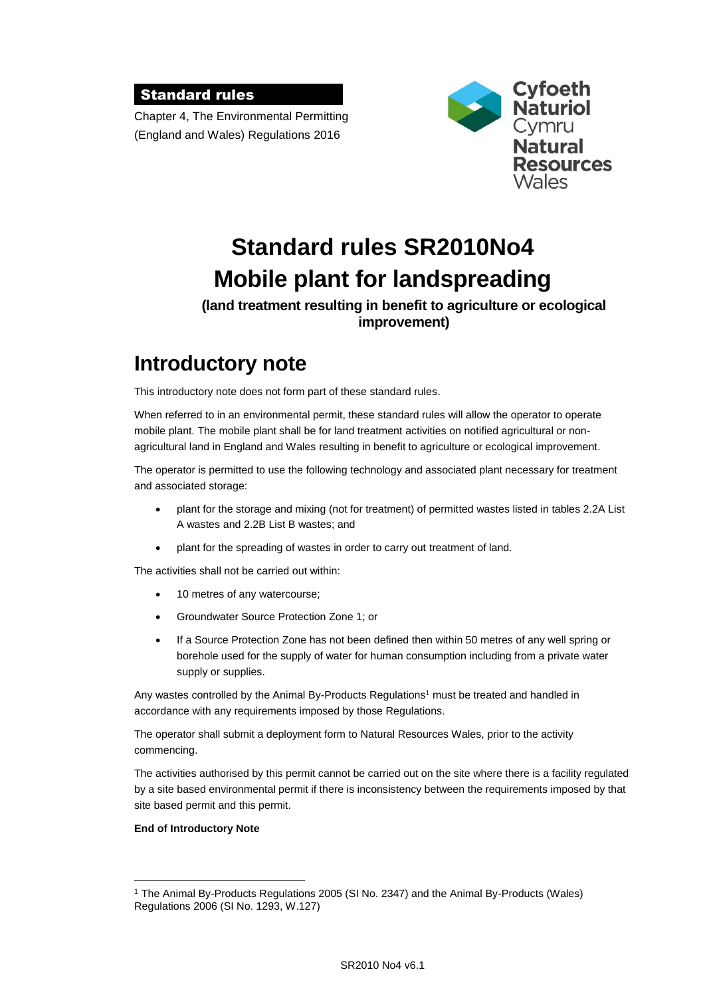### Standard rules

Chapter 4, The Environmental Permitting (England and Wales) Regulations 2016



# **Standard rules SR2010No4 Mobile plant for landspreading**

#### **(land treatment resulting in benefit to agriculture or ecological improvement)**

## **Introductory note**

This introductory note does not form part of these standard rules.

When referred to in an environmental permit, these standard rules will allow the operator to operate mobile plant. The mobile plant shall be for land treatment activities on notified agricultural or nonagricultural land in England and Wales resulting in benefit to agriculture or ecological improvement.

The operator is permitted to use the following technology and associated plant necessary for treatment and associated storage:

- plant for the storage and mixing (not for treatment) of permitted wastes listed in tables 2.2A List A wastes and 2.2B List B wastes; and
- plant for the spreading of wastes in order to carry out treatment of land.

The activities shall not be carried out within:

- 10 metres of any watercourse;
- Groundwater Source Protection Zone 1; or
- If a Source Protection Zone has not been defined then within 50 metres of any well spring or borehole used for the supply of water for human consumption including from a private water supply or supplies.

Any wastes controlled by the Animal By-Products Regulations<sup>1</sup> must be treated and handled in accordance with any requirements imposed by those Regulations.

The operator shall submit a deployment form to Natural Resources Wales, prior to the activity commencing.

The activities authorised by this permit cannot be carried out on the site where there is a facility regulated by a site based environmental permit if there is inconsistency between the requirements imposed by that site based permit and this permit.

#### **End of Introductory Note**

 $\overline{a}$ 

<sup>1</sup> The Animal By-Products Regulations 2005 (SI No. 2347) and the Animal By-Products (Wales) Regulations 2006 (SI No. 1293, W.127)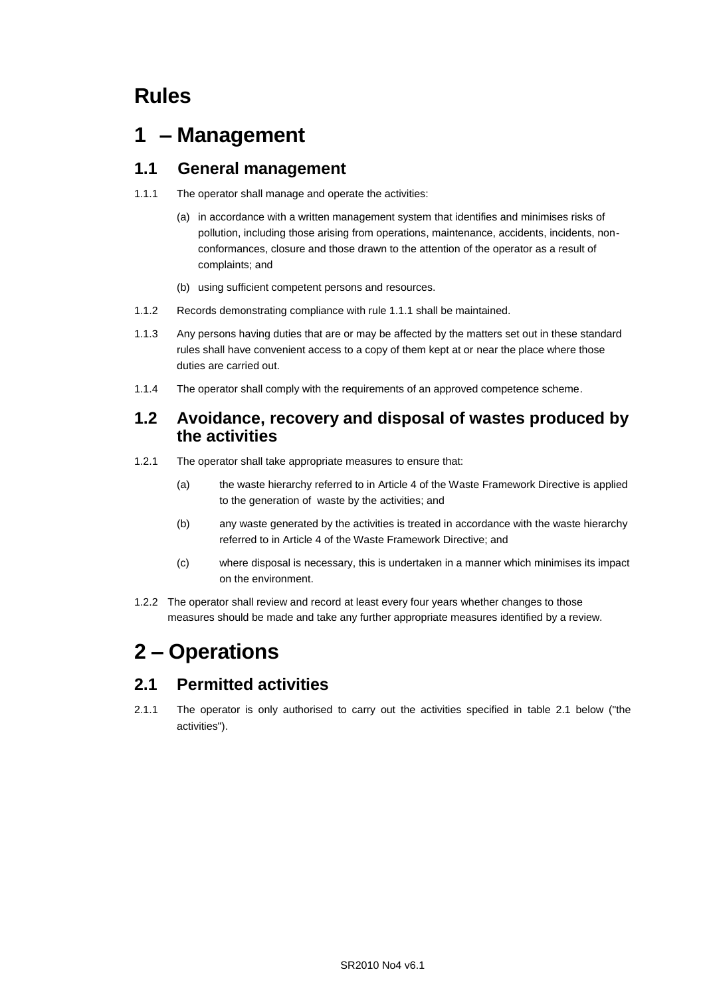## **Rules**

## **1 – Management**

### **1.1 General management**

- 1.1.1 The operator shall manage and operate the activities:
	- (a) in accordance with a written management system that identifies and minimises risks of pollution, including those arising from operations, maintenance, accidents, incidents, nonconformances, closure and those drawn to the attention of the operator as a result of complaints; and
	- (b) using sufficient competent persons and resources.
- 1.1.2 Records demonstrating compliance with rule 1.1.1 shall be maintained.
- 1.1.3 Any persons having duties that are or may be affected by the matters set out in these standard rules shall have convenient access to a copy of them kept at or near the place where those duties are carried out.
- 1.1.4 The operator shall comply with the requirements of an approved competence scheme.

### **1.2 Avoidance, recovery and disposal of wastes produced by the activities**

- 1.2.1 The operator shall take appropriate measures to ensure that:
	- (a) the waste hierarchy referred to in Article 4 of the Waste Framework Directive is applied to the generation of waste by the activities; and
	- (b) any waste generated by the activities is treated in accordance with the waste hierarchy referred to in Article 4 of the Waste Framework Directive; and
	- (c) where disposal is necessary, this is undertaken in a manner which minimises its impact on the environment.
- 1.2.2 The operator shall review and record at least every four years whether changes to those measures should be made and take any further appropriate measures identified by a review.

## **2 – Operations**

### **2.1 Permitted activities**

2.1.1 The operator is only authorised to carry out the activities specified in table 2.1 below ("the activities").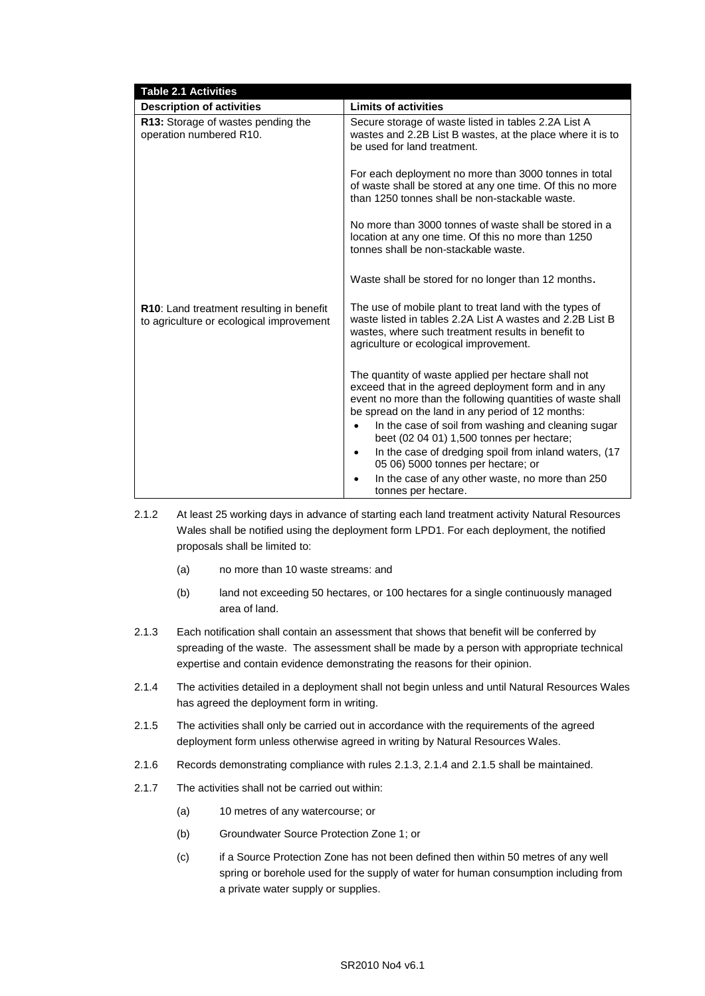| <b>Table 2.1 Activities</b>                                                          |                                                                                                                                                                                                                                                                                                                                                                                                                                                             |
|--------------------------------------------------------------------------------------|-------------------------------------------------------------------------------------------------------------------------------------------------------------------------------------------------------------------------------------------------------------------------------------------------------------------------------------------------------------------------------------------------------------------------------------------------------------|
| <b>Description of activities</b>                                                     | <b>Limits of activities</b>                                                                                                                                                                                                                                                                                                                                                                                                                                 |
| R13: Storage of wastes pending the<br>operation numbered R10.                        | Secure storage of waste listed in tables 2.2A List A<br>wastes and 2.2B List B wastes, at the place where it is to<br>be used for land treatment.                                                                                                                                                                                                                                                                                                           |
|                                                                                      | For each deployment no more than 3000 tonnes in total<br>of waste shall be stored at any one time. Of this no more<br>than 1250 tonnes shall be non-stackable waste.                                                                                                                                                                                                                                                                                        |
|                                                                                      | No more than 3000 tonnes of waste shall be stored in a<br>location at any one time. Of this no more than 1250<br>tonnes shall be non-stackable waste.                                                                                                                                                                                                                                                                                                       |
|                                                                                      | Waste shall be stored for no longer than 12 months.                                                                                                                                                                                                                                                                                                                                                                                                         |
| R10: Land treatment resulting in benefit<br>to agriculture or ecological improvement | The use of mobile plant to treat land with the types of<br>waste listed in tables 2.2A List A wastes and 2.2B List B<br>wastes, where such treatment results in benefit to<br>agriculture or ecological improvement.                                                                                                                                                                                                                                        |
|                                                                                      | The quantity of waste applied per hectare shall not<br>exceed that in the agreed deployment form and in any<br>event no more than the following quantities of waste shall<br>be spread on the land in any period of 12 months:<br>In the case of soil from washing and cleaning sugar<br>$\bullet$<br>beet (02 04 01) 1,500 tonnes per hectare;<br>In the case of dredging spoil from inland waters, (17<br>$\bullet$<br>05 06) 5000 tonnes per hectare; or |
|                                                                                      | In the case of any other waste, no more than 250<br>tonnes per hectare.                                                                                                                                                                                                                                                                                                                                                                                     |

- 2.1.2 At least 25 working days in advance of starting each land treatment activity Natural Resources Wales shall be notified using the deployment form LPD1. For each deployment, the notified proposals shall be limited to:
	- (a) no more than 10 waste streams: and
	- (b) land not exceeding 50 hectares, or 100 hectares for a single continuously managed area of land.
- 2.1.3 Each notification shall contain an assessment that shows that benefit will be conferred by spreading of the waste. The assessment shall be made by a person with appropriate technical expertise and contain evidence demonstrating the reasons for their opinion.
- 2.1.4 The activities detailed in a deployment shall not begin unless and until Natural Resources Wales has agreed the deployment form in writing.
- 2.1.5 The activities shall only be carried out in accordance with the requirements of the agreed deployment form unless otherwise agreed in writing by Natural Resources Wales.
- 2.1.6 Records demonstrating compliance with rules 2.1.3, 2.1.4 and 2.1.5 shall be maintained.
- 2.1.7 The activities shall not be carried out within:
	- (a) 10 metres of any watercourse; or
	- (b) Groundwater Source Protection Zone 1; or
	- (c) if a Source Protection Zone has not been defined then within 50 metres of any well spring or borehole used for the supply of water for human consumption including from a private water supply or supplies.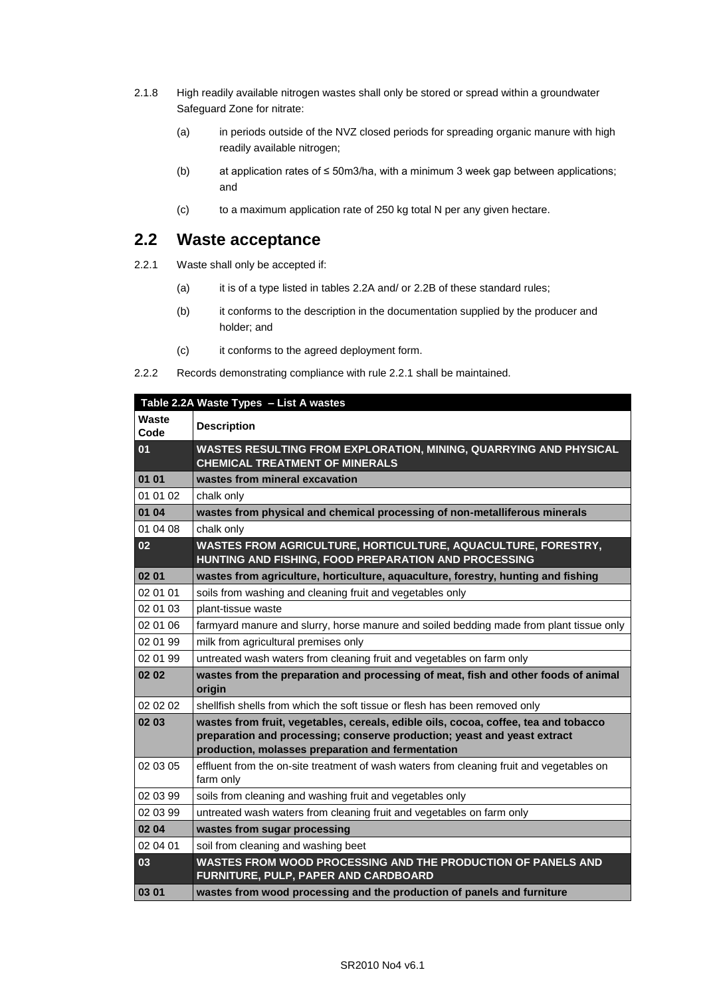- 2.1.8 High readily available nitrogen wastes shall only be stored or spread within a groundwater Safeguard Zone for nitrate:
	- (a) in periods outside of the NVZ closed periods for spreading organic manure with high readily available nitrogen;
	- (b) at application rates of ≤ 50m3/ha, with a minimum 3 week gap between applications; and
	- (c) to a maximum application rate of 250 kg total N per any given hectare.

### **2.2 Waste acceptance**

- 2.2.1 Waste shall only be accepted if:
	- (a) it is of a type listed in tables 2.2A and/ or 2.2B of these standard rules;
	- (b) it conforms to the description in the documentation supplied by the producer and holder; and
	- (c) it conforms to the agreed deployment form.

<sup>2.2.2</sup> Records demonstrating compliance with rule 2.2.1 shall be maintained.

|               | Table 2.2A Waste Types - List A wastes                                                                                                                                                                               |
|---------------|----------------------------------------------------------------------------------------------------------------------------------------------------------------------------------------------------------------------|
| Waste<br>Code | <b>Description</b>                                                                                                                                                                                                   |
| 01            | WASTES RESULTING FROM EXPLORATION, MINING, QUARRYING AND PHYSICAL<br><b>CHEMICAL TREATMENT OF MINERALS</b>                                                                                                           |
| 01 01         | wastes from mineral excavation                                                                                                                                                                                       |
| 01 01 02      | chalk only                                                                                                                                                                                                           |
| 01 04         | wastes from physical and chemical processing of non-metalliferous minerals                                                                                                                                           |
| 01 04 08      | chalk only                                                                                                                                                                                                           |
| 02            | WASTES FROM AGRICULTURE, HORTICULTURE, AQUACULTURE, FORESTRY,<br>HUNTING AND FISHING, FOOD PREPARATION AND PROCESSING                                                                                                |
| 02 01         | wastes from agriculture, horticulture, aquaculture, forestry, hunting and fishing                                                                                                                                    |
| 02 01 01      | soils from washing and cleaning fruit and vegetables only                                                                                                                                                            |
| 02 01 03      | plant-tissue waste                                                                                                                                                                                                   |
| 02 01 06      | farmyard manure and slurry, horse manure and soiled bedding made from plant tissue only                                                                                                                              |
| 02 01 99      | milk from agricultural premises only                                                                                                                                                                                 |
| 02 01 99      | untreated wash waters from cleaning fruit and vegetables on farm only                                                                                                                                                |
| 02 02         | wastes from the preparation and processing of meat, fish and other foods of animal<br>origin                                                                                                                         |
| 02 02 02      | shellfish shells from which the soft tissue or flesh has been removed only                                                                                                                                           |
| 02 03         | wastes from fruit, vegetables, cereals, edible oils, cocoa, coffee, tea and tobacco<br>preparation and processing; conserve production; yeast and yeast extract<br>production, molasses preparation and fermentation |
| 02 03 05      | effluent from the on-site treatment of wash waters from cleaning fruit and vegetables on<br>farm only                                                                                                                |
| 02 03 99      | soils from cleaning and washing fruit and vegetables only                                                                                                                                                            |
| 02 03 99      | untreated wash waters from cleaning fruit and vegetables on farm only                                                                                                                                                |
| 02 04         | wastes from sugar processing                                                                                                                                                                                         |
| 02 04 01      | soil from cleaning and washing beet                                                                                                                                                                                  |
| 03            | WASTES FROM WOOD PROCESSING AND THE PRODUCTION OF PANELS AND<br>FURNITURE, PULP, PAPER AND CARDBOARD                                                                                                                 |
| 03 01         | wastes from wood processing and the production of panels and furniture                                                                                                                                               |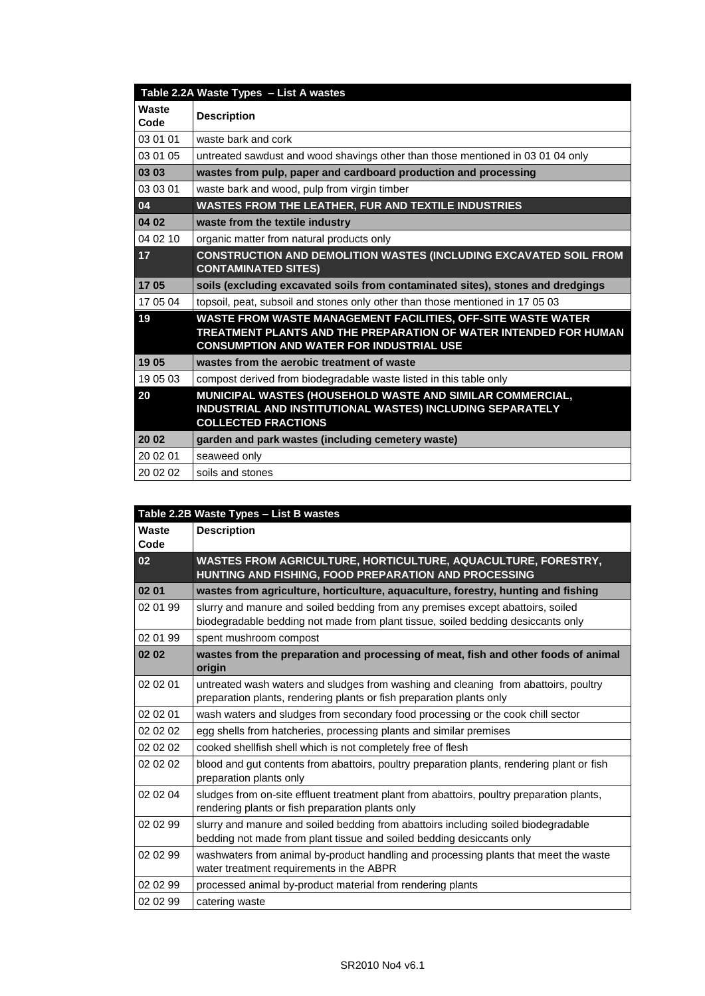| Table 2.2A Waste Types - List A wastes |                                                                                                                                                                                     |
|----------------------------------------|-------------------------------------------------------------------------------------------------------------------------------------------------------------------------------------|
| Waste<br>Code                          | <b>Description</b>                                                                                                                                                                  |
| 03 01 01                               | waste bark and cork                                                                                                                                                                 |
| 03 01 05                               | untreated sawdust and wood shavings other than those mentioned in 03 01 04 only                                                                                                     |
| 03 03                                  | wastes from pulp, paper and cardboard production and processing                                                                                                                     |
| 03 03 01                               | waste bark and wood, pulp from virgin timber                                                                                                                                        |
| 04                                     | <b>WASTES FROM THE LEATHER, FUR AND TEXTILE INDUSTRIES</b>                                                                                                                          |
| 04 02                                  | waste from the textile industry                                                                                                                                                     |
| 04 02 10                               | organic matter from natural products only                                                                                                                                           |
| 17                                     | <b>CONSTRUCTION AND DEMOLITION WASTES (INCLUDING EXCAVATED SOIL FROM</b><br><b>CONTAMINATED SITES)</b>                                                                              |
| 17 05                                  | soils (excluding excavated soils from contaminated sites), stones and dredgings                                                                                                     |
| 17 05 04                               | topsoil, peat, subsoil and stones only other than those mentioned in 17 05 03                                                                                                       |
| 19                                     | WASTE FROM WASTE MANAGEMENT FACILITIES, OFF-SITE WASTE WATER<br>TREATMENT PLANTS AND THE PREPARATION OF WATER INTENDED FOR HUMAN<br><b>CONSUMPTION AND WATER FOR INDUSTRIAL USE</b> |
| 19 05                                  | wastes from the aerobic treatment of waste                                                                                                                                          |
| 19 05 03                               | compost derived from biodegradable waste listed in this table only                                                                                                                  |
| 20                                     | MUNICIPAL WASTES (HOUSEHOLD WASTE AND SIMILAR COMMERCIAL,<br>INDUSTRIAL AND INSTITUTIONAL WASTES) INCLUDING SEPARATELY<br><b>COLLECTED FRACTIONS</b>                                |
| 20 02                                  | garden and park wastes (including cemetery waste)                                                                                                                                   |
| 20 02 01                               | seaweed only                                                                                                                                                                        |
| 20 02 02                               | soils and stones                                                                                                                                                                    |

| Table 2.2B Waste Types - List B wastes |                                                                                                                                                                     |
|----------------------------------------|---------------------------------------------------------------------------------------------------------------------------------------------------------------------|
| Waste<br>Code                          | <b>Description</b>                                                                                                                                                  |
| 02                                     | WASTES FROM AGRICULTURE, HORTICULTURE, AQUACULTURE, FORESTRY,<br>HUNTING AND FISHING, FOOD PREPARATION AND PROCESSING                                               |
| 02 01                                  | wastes from agriculture, horticulture, aquaculture, forestry, hunting and fishing                                                                                   |
| 02 01 99                               | slurry and manure and soiled bedding from any premises except abattoirs, soiled<br>biodegradable bedding not made from plant tissue, soiled bedding desiccants only |
| 02 01 99                               | spent mushroom compost                                                                                                                                              |
| 02 02                                  | wastes from the preparation and processing of meat, fish and other foods of animal<br>origin                                                                        |
| 02 02 01                               | untreated wash waters and sludges from washing and cleaning from abattoirs, poultry<br>preparation plants, rendering plants or fish preparation plants only         |
| 02 02 01                               | wash waters and sludges from secondary food processing or the cook chill sector                                                                                     |
| 02 02 02                               | egg shells from hatcheries, processing plants and similar premises                                                                                                  |
| 02 02 02                               | cooked shellfish shell which is not completely free of flesh                                                                                                        |
| 02 02 02                               | blood and gut contents from abattoirs, poultry preparation plants, rendering plant or fish<br>preparation plants only                                               |
| 02 02 04                               | sludges from on-site effluent treatment plant from abattoirs, poultry preparation plants,<br>rendering plants or fish preparation plants only                       |
| 02 02 99                               | slurry and manure and soiled bedding from abattoirs including soiled biodegradable<br>bedding not made from plant tissue and soiled bedding desiccants only         |
| 02 02 99                               | washwaters from animal by-product handling and processing plants that meet the waste<br>water treatment requirements in the ABPR                                    |
| 02 02 99                               | processed animal by-product material from rendering plants                                                                                                          |
| 02 02 99                               | catering waste                                                                                                                                                      |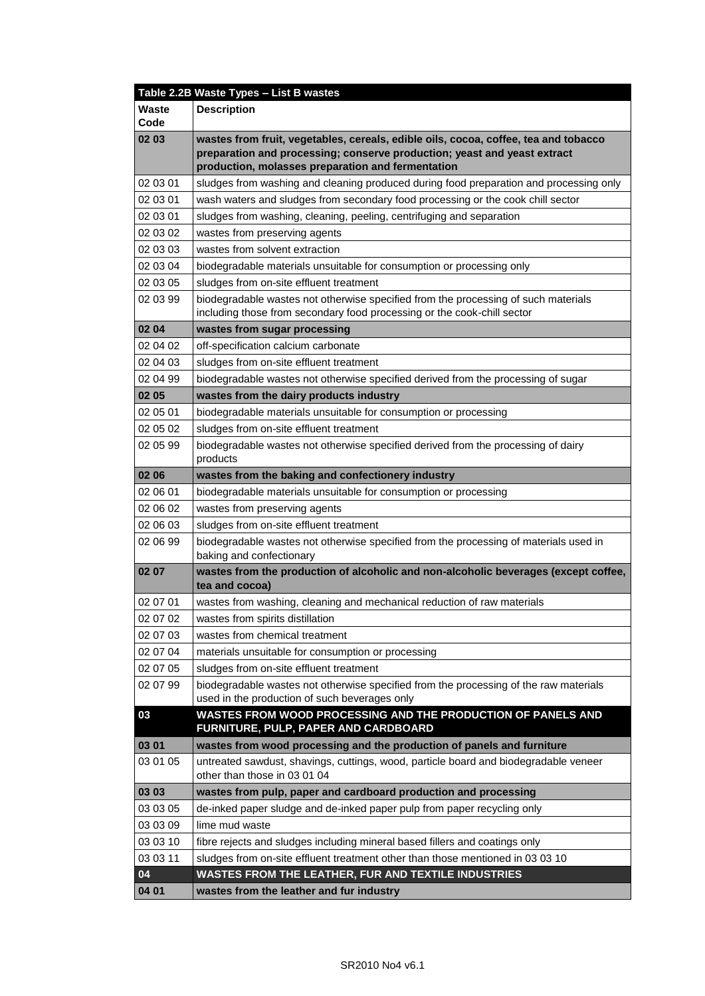|               | Table 2.2B Waste Types - List B wastes                                                                                                                        |
|---------------|---------------------------------------------------------------------------------------------------------------------------------------------------------------|
| Waste<br>Code | <b>Description</b>                                                                                                                                            |
| 02 03         | wastes from fruit, vegetables, cereals, edible oils, cocoa, coffee, tea and tobacco                                                                           |
|               | preparation and processing; conserve production; yeast and yeast extract                                                                                      |
|               | production, molasses preparation and fermentation                                                                                                             |
| 02 03 01      | sludges from washing and cleaning produced during food preparation and processing only                                                                        |
| 02 03 01      | wash waters and sludges from secondary food processing or the cook chill sector                                                                               |
| 02 03 01      | sludges from washing, cleaning, peeling, centrifuging and separation                                                                                          |
| 02 03 02      | wastes from preserving agents                                                                                                                                 |
| 02 03 03      | wastes from solvent extraction                                                                                                                                |
| 02 03 04      | biodegradable materials unsuitable for consumption or processing only                                                                                         |
| 02 03 05      | sludges from on-site effluent treatment                                                                                                                       |
| 02 03 99      | biodegradable wastes not otherwise specified from the processing of such materials<br>including those from secondary food processing or the cook-chill sector |
| 02 04         | wastes from sugar processing                                                                                                                                  |
| 02 04 02      | off-specification calcium carbonate                                                                                                                           |
| 02 04 03      | sludges from on-site effluent treatment                                                                                                                       |
| 02 04 99      | biodegradable wastes not otherwise specified derived from the processing of sugar                                                                             |
| 02 05         | wastes from the dairy products industry                                                                                                                       |
| 02 05 01      | biodegradable materials unsuitable for consumption or processing                                                                                              |
| 02 05 02      | sludges from on-site effluent treatment                                                                                                                       |
| 02 05 99      | biodegradable wastes not otherwise specified derived from the processing of dairy<br>products                                                                 |
| 02 06         | wastes from the baking and confectionery industry                                                                                                             |
| 02 06 01      | biodegradable materials unsuitable for consumption or processing                                                                                              |
| 02 06 02      | wastes from preserving agents                                                                                                                                 |
| 02 06 03      | sludges from on-site effluent treatment                                                                                                                       |
| 02 06 99      | biodegradable wastes not otherwise specified from the processing of materials used in<br>baking and confectionary                                             |
| 02 07         | wastes from the production of alcoholic and non-alcoholic beverages (except coffee,<br>tea and cocoa)                                                         |
| 02 07 01      | wastes from washing, cleaning and mechanical reduction of raw materials                                                                                       |
| 02 07 02      | wastes from spirits distillation                                                                                                                              |
| 02 07 03      | wastes from chemical treatment                                                                                                                                |
| 02 07 04      | materials unsuitable for consumption or processing                                                                                                            |
| 02 07 05      | sludges from on-site effluent treatment                                                                                                                       |
| 02 07 99      | biodegradable wastes not otherwise specified from the processing of the raw materials                                                                         |
|               | used in the production of such beverages only                                                                                                                 |
| 03            | WASTES FROM WOOD PROCESSING AND THE PRODUCTION OF PANELS AND<br>FURNITURE, PULP, PAPER AND CARDBOARD                                                          |
| 03 01         | wastes from wood processing and the production of panels and furniture                                                                                        |
| 03 01 05      | untreated sawdust, shavings, cuttings, wood, particle board and biodegradable veneer                                                                          |
|               | other than those in 03 01 04                                                                                                                                  |
| 03 03         | wastes from pulp, paper and cardboard production and processing                                                                                               |
| 03 03 05      | de-inked paper sludge and de-inked paper pulp from paper recycling only                                                                                       |
| 03 03 09      | lime mud waste                                                                                                                                                |
| 03 03 10      | fibre rejects and sludges including mineral based fillers and coatings only                                                                                   |
| 03 03 11      | sludges from on-site effluent treatment other than those mentioned in 03 03 10                                                                                |
| 04            | WASTES FROM THE LEATHER, FUR AND TEXTILE INDUSTRIES                                                                                                           |
| 04 01         | wastes from the leather and fur industry                                                                                                                      |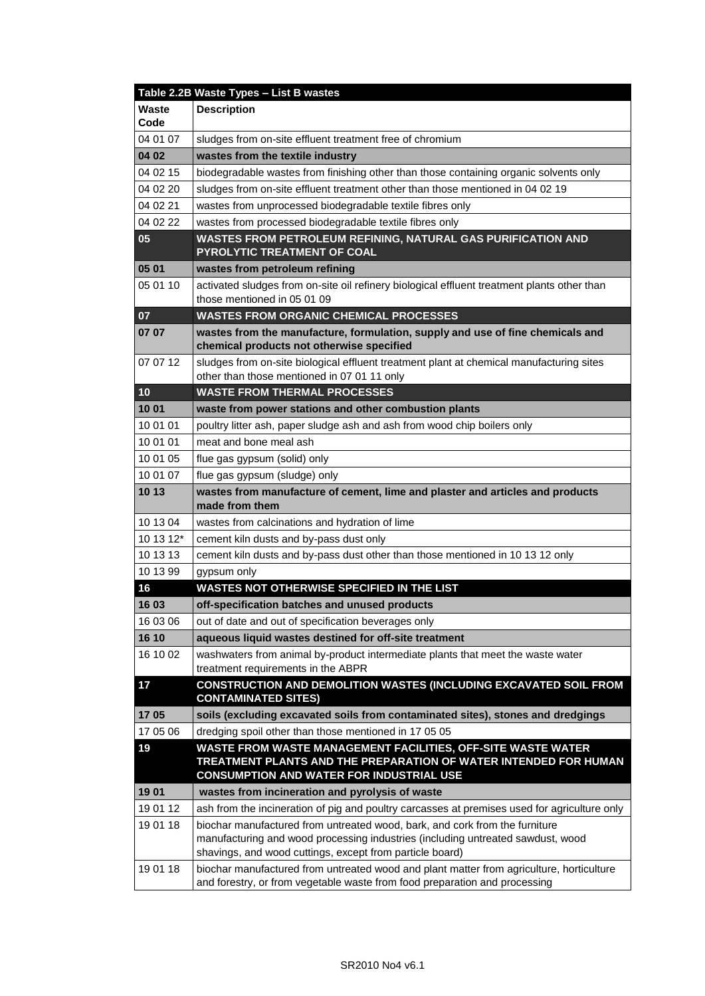|                      | Table 2.2B Waste Types - List B wastes                                                                                                                                              |
|----------------------|-------------------------------------------------------------------------------------------------------------------------------------------------------------------------------------|
| <b>Waste</b><br>Code | <b>Description</b>                                                                                                                                                                  |
| 04 01 07             | sludges from on-site effluent treatment free of chromium                                                                                                                            |
| 04 02                | wastes from the textile industry                                                                                                                                                    |
| 04 02 15             | biodegradable wastes from finishing other than those containing organic solvents only                                                                                               |
| 04 02 20             | sludges from on-site effluent treatment other than those mentioned in 04 02 19                                                                                                      |
| 04 02 21             | wastes from unprocessed biodegradable textile fibres only                                                                                                                           |
| 04 02 22             | wastes from processed biodegradable textile fibres only                                                                                                                             |
| 05                   | WASTES FROM PETROLEUM REFINING, NATURAL GAS PURIFICATION AND<br>PYROLYTIC TREATMENT OF COAL                                                                                         |
| 05 01                | wastes from petroleum refining                                                                                                                                                      |
| 05 01 10             | activated sludges from on-site oil refinery biological effluent treatment plants other than<br>those mentioned in 05 01 09                                                          |
| 07                   | <b>WASTES FROM ORGANIC CHEMICAL PROCESSES</b>                                                                                                                                       |
| 07 07                | wastes from the manufacture, formulation, supply and use of fine chemicals and<br>chemical products not otherwise specified                                                         |
| 07 07 12             | sludges from on-site biological effluent treatment plant at chemical manufacturing sites<br>other than those mentioned in 07 01 11 only                                             |
| 10                   | <b>WASTE FROM THERMAL PROCESSES</b>                                                                                                                                                 |
| 10 01                | waste from power stations and other combustion plants                                                                                                                               |
| 10 01 01             | poultry litter ash, paper sludge ash and ash from wood chip boilers only                                                                                                            |
| 10 01 01             | meat and bone meal ash                                                                                                                                                              |
| 10 01 05             | flue gas gypsum (solid) only                                                                                                                                                        |
| 10 01 07             | flue gas gypsum (sludge) only                                                                                                                                                       |
| 10 13                | wastes from manufacture of cement, lime and plaster and articles and products<br>made from them                                                                                     |
| 10 13 04             | wastes from calcinations and hydration of lime                                                                                                                                      |
| 10 13 12*            | cement kiln dusts and by-pass dust only                                                                                                                                             |
| 10 13 13             | cement kiln dusts and by-pass dust other than those mentioned in 10 13 12 only                                                                                                      |
| 10 13 99             | gypsum only                                                                                                                                                                         |
| 16                   | <b>WASTES NOT OTHERWISE SPECIFIED IN THE LIST</b>                                                                                                                                   |
| 16 03                | off-specification batches and unused products                                                                                                                                       |
| 16 03 06             | out of date and out of specification beverages only                                                                                                                                 |
| 16 10                | aqueous liquid wastes destined for off-site treatment                                                                                                                               |
| 16 10 02             | washwaters from animal by-product intermediate plants that meet the waste water<br>treatment requirements in the ABPR                                                               |
|                      |                                                                                                                                                                                     |
| 17                   | CONSTRUCTION AND DEMOLITION WASTES (INCLUDING EXCAVATED SOIL FROM<br><b>CONTAMINATED SITES)</b>                                                                                     |
| 1705                 | soils (excluding excavated soils from contaminated sites), stones and dredgings                                                                                                     |
| 17 05 06             | dredging spoil other than those mentioned in 17 05 05                                                                                                                               |
| 19                   | WASTE FROM WASTE MANAGEMENT FACILITIES, OFF-SITE WASTE WATER<br>TREATMENT PLANTS AND THE PREPARATION OF WATER INTENDED FOR HUMAN<br><b>CONSUMPTION AND WATER FOR INDUSTRIAL USE</b> |
| 19 01                | wastes from incineration and pyrolysis of waste                                                                                                                                     |
| 19 01 12             | ash from the incineration of pig and poultry carcasses at premises used for agriculture only                                                                                        |
| 19 01 18             | biochar manufactured from untreated wood, bark, and cork from the furniture                                                                                                         |
|                      | manufacturing and wood processing industries (including untreated sawdust, wood<br>shavings, and wood cuttings, except from particle board)                                         |
| 19 01 18             | biochar manufactured from untreated wood and plant matter from agriculture, horticulture<br>and forestry, or from vegetable waste from food preparation and processing              |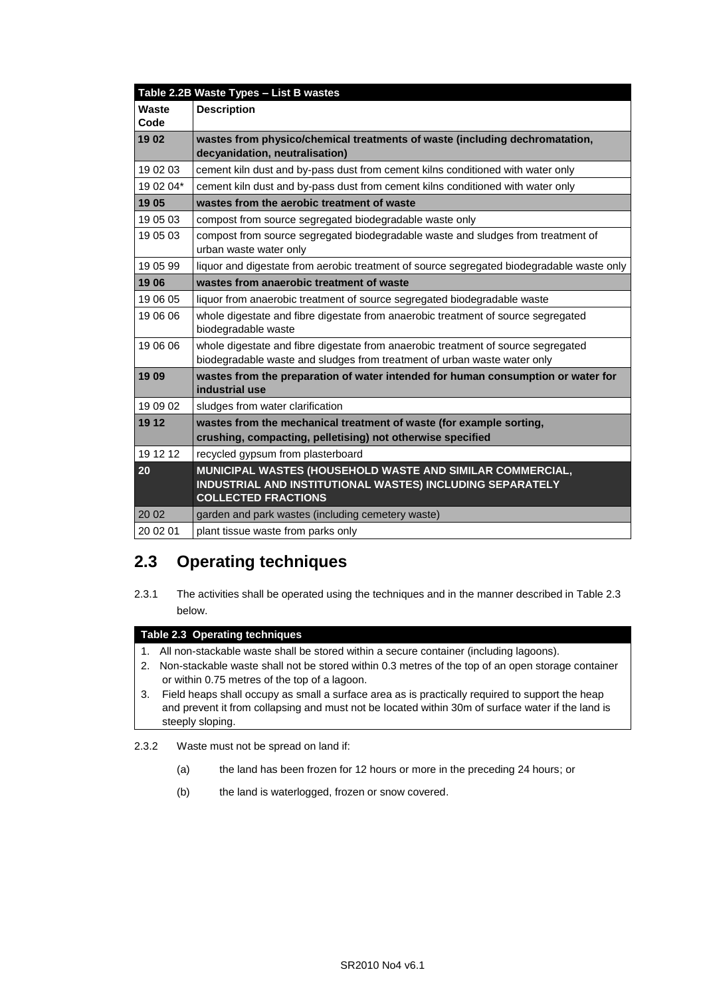|           | Table 2.2B Waste Types - List B wastes                                                                                                                        |
|-----------|---------------------------------------------------------------------------------------------------------------------------------------------------------------|
| Waste     | <b>Description</b>                                                                                                                                            |
| Code      |                                                                                                                                                               |
| 19 02     | wastes from physico/chemical treatments of waste (including dechromatation,<br>decyanidation, neutralisation)                                                 |
| 19 02 03  | cement kiln dust and by-pass dust from cement kilns conditioned with water only                                                                               |
| 19 02 04* | cement kiln dust and by-pass dust from cement kilns conditioned with water only                                                                               |
| 19 05     | wastes from the aerobic treatment of waste                                                                                                                    |
| 19 05 03  | compost from source segregated biodegradable waste only                                                                                                       |
| 19 05 03  | compost from source segregated biodegradable waste and sludges from treatment of<br>urban waste water only                                                    |
| 19 05 99  | liquor and digestate from aerobic treatment of source segregated biodegradable waste only                                                                     |
| 1906      | wastes from anaerobic treatment of waste                                                                                                                      |
| 19 06 05  | liquor from anaerobic treatment of source segregated biodegradable waste                                                                                      |
| 19 06 06  | whole digestate and fibre digestate from anaerobic treatment of source segregated<br>biodegradable waste                                                      |
| 19 06 06  | whole digestate and fibre digestate from anaerobic treatment of source segregated<br>biodegradable waste and sludges from treatment of urban waste water only |
| 1909      | wastes from the preparation of water intended for human consumption or water for<br>industrial use                                                            |
| 19 09 02  | sludges from water clarification                                                                                                                              |
| 19 12     | wastes from the mechanical treatment of waste (for example sorting,                                                                                           |
|           | crushing, compacting, pelletising) not otherwise specified                                                                                                    |
| 19 12 12  | recycled gypsum from plasterboard                                                                                                                             |
| 20        | MUNICIPAL WASTES (HOUSEHOLD WASTE AND SIMILAR COMMERCIAL,<br>INDUSTRIAL AND INSTITUTIONAL WASTES) INCLUDING SEPARATELY<br><b>COLLECTED FRACTIONS</b>          |
| 20 02     | garden and park wastes (including cemetery waste)                                                                                                             |
| 20 02 01  | plant tissue waste from parks only                                                                                                                            |

### **2.3 Operating techniques**

2.3.1 The activities shall be operated using the techniques and in the manner described in Table 2.3 below.

#### **Table 2.3 Operating techniques**

- 1. All non-stackable waste shall be stored within a secure container (including lagoons).
- 2. Non-stackable waste shall not be stored within 0.3 metres of the top of an open storage container or within 0.75 metres of the top of a lagoon.
- 3. Field heaps shall occupy as small a surface area as is practically required to support the heap and prevent it from collapsing and must not be located within 30m of surface water if the land is steeply sloping.

2.3.2 Waste must not be spread on land if:

- (a) the land has been frozen for 12 hours or more in the preceding 24 hours; or
- (b) the land is waterlogged, frozen or snow covered.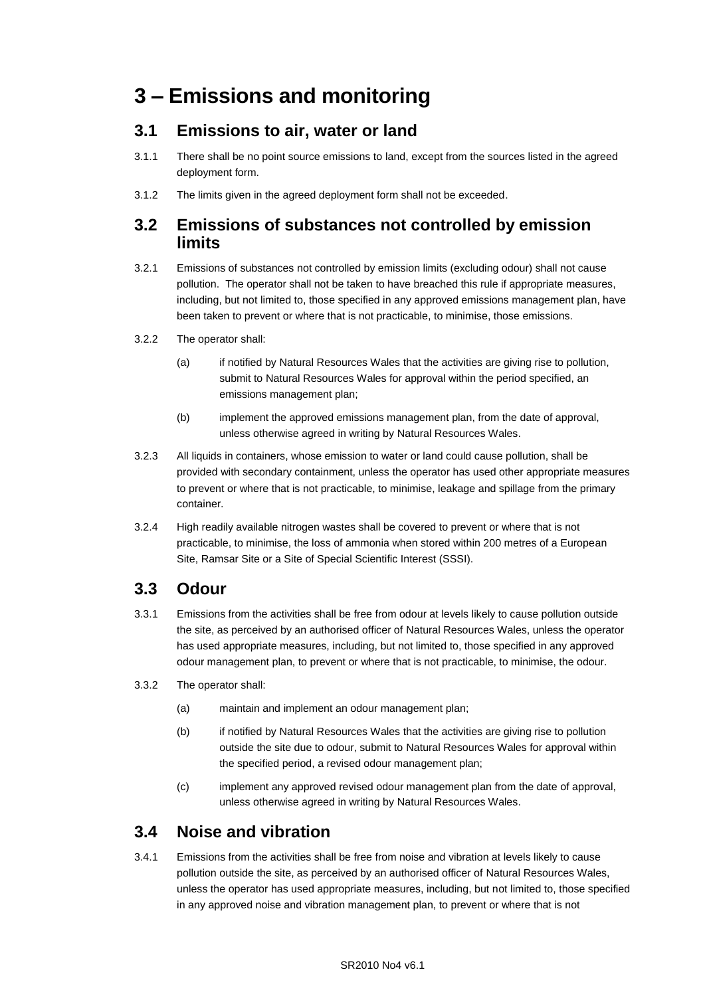## **3 – Emissions and monitoring**

### **3.1 Emissions to air, water or land**

- 3.1.1 There shall be no point source emissions to land, except from the sources listed in the agreed deployment form.
- 3.1.2 The limits given in the agreed deployment form shall not be exceeded.

### **3.2 Emissions of substances not controlled by emission limits**

- 3.2.1 Emissions of substances not controlled by emission limits (excluding odour) shall not cause pollution. The operator shall not be taken to have breached this rule if appropriate measures, including, but not limited to, those specified in any approved emissions management plan, have been taken to prevent or where that is not practicable, to minimise, those emissions.
- 3.2.2 The operator shall:
	- (a) if notified by Natural Resources Wales that the activities are giving rise to pollution, submit to Natural Resources Wales for approval within the period specified, an emissions management plan;
	- (b) implement the approved emissions management plan, from the date of approval, unless otherwise agreed in writing by Natural Resources Wales.
- 3.2.3 All liquids in containers, whose emission to water or land could cause pollution, shall be provided with secondary containment, unless the operator has used other appropriate measures to prevent or where that is not practicable, to minimise, leakage and spillage from the primary container.
- 3.2.4 High readily available nitrogen wastes shall be covered to prevent or where that is not practicable, to minimise, the loss of ammonia when stored within 200 metres of a European Site, Ramsar Site or a Site of Special Scientific Interest (SSSI).

### **3.3 Odour**

- 3.3.1 Emissions from the activities shall be free from odour at levels likely to cause pollution outside the site, as perceived by an authorised officer of Natural Resources Wales, unless the operator has used appropriate measures, including, but not limited to, those specified in any approved odour management plan, to prevent or where that is not practicable, to minimise, the odour.
- 3.3.2 The operator shall:
	- (a) maintain and implement an odour management plan;
	- (b) if notified by Natural Resources Wales that the activities are giving rise to pollution outside the site due to odour, submit to Natural Resources Wales for approval within the specified period, a revised odour management plan;
	- (c) implement any approved revised odour management plan from the date of approval, unless otherwise agreed in writing by Natural Resources Wales.

### **3.4 Noise and vibration**

3.4.1 Emissions from the activities shall be free from noise and vibration at levels likely to cause pollution outside the site, as perceived by an authorised officer of Natural Resources Wales, unless the operator has used appropriate measures, including, but not limited to, those specified in any approved noise and vibration management plan, to prevent or where that is not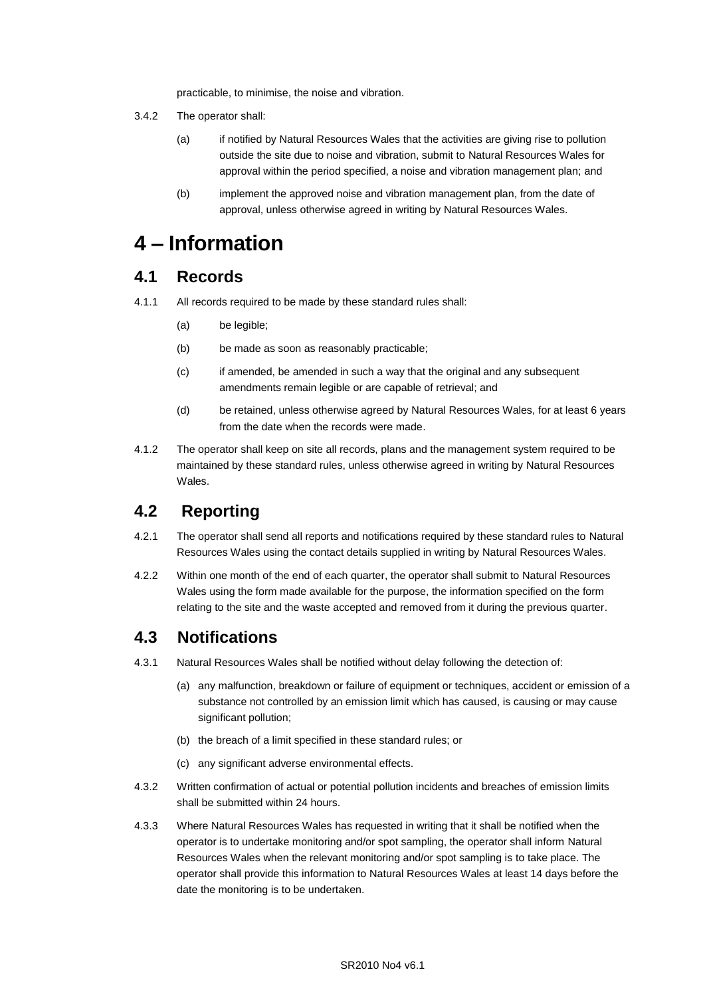practicable, to minimise, the noise and vibration.

- 3.4.2 The operator shall:
	- (a) if notified by Natural Resources Wales that the activities are giving rise to pollution outside the site due to noise and vibration, submit to Natural Resources Wales for approval within the period specified, a noise and vibration management plan; and
	- (b) implement the approved noise and vibration management plan, from the date of approval, unless otherwise agreed in writing by Natural Resources Wales.

## **4 – Information**

### **4.1 Records**

- 4.1.1 All records required to be made by these standard rules shall:
	- (a) be legible;
	- (b) be made as soon as reasonably practicable;
	- (c) if amended, be amended in such a way that the original and any subsequent amendments remain legible or are capable of retrieval; and
	- (d) be retained, unless otherwise agreed by Natural Resources Wales, for at least 6 years from the date when the records were made.
- 4.1.2 The operator shall keep on site all records, plans and the management system required to be maintained by these standard rules, unless otherwise agreed in writing by Natural Resources Wales.

### **4.2 Reporting**

- 4.2.1 The operator shall send all reports and notifications required by these standard rules to Natural Resources Wales using the contact details supplied in writing by Natural Resources Wales.
- 4.2.2 Within one month of the end of each quarter, the operator shall submit to Natural Resources Wales using the form made available for the purpose, the information specified on the form relating to the site and the waste accepted and removed from it during the previous quarter.

### **4.3 Notifications**

- 4.3.1 Natural Resources Wales shall be notified without delay following the detection of:
	- (a) any malfunction, breakdown or failure of equipment or techniques, accident or emission of a substance not controlled by an emission limit which has caused, is causing or may cause significant pollution;
	- (b) the breach of a limit specified in these standard rules; or
	- (c) any significant adverse environmental effects.
- 4.3.2 Written confirmation of actual or potential pollution incidents and breaches of emission limits shall be submitted within 24 hours.
- 4.3.3 Where Natural Resources Wales has requested in writing that it shall be notified when the operator is to undertake monitoring and/or spot sampling, the operator shall inform Natural Resources Wales when the relevant monitoring and/or spot sampling is to take place. The operator shall provide this information to Natural Resources Wales at least 14 days before the date the monitoring is to be undertaken.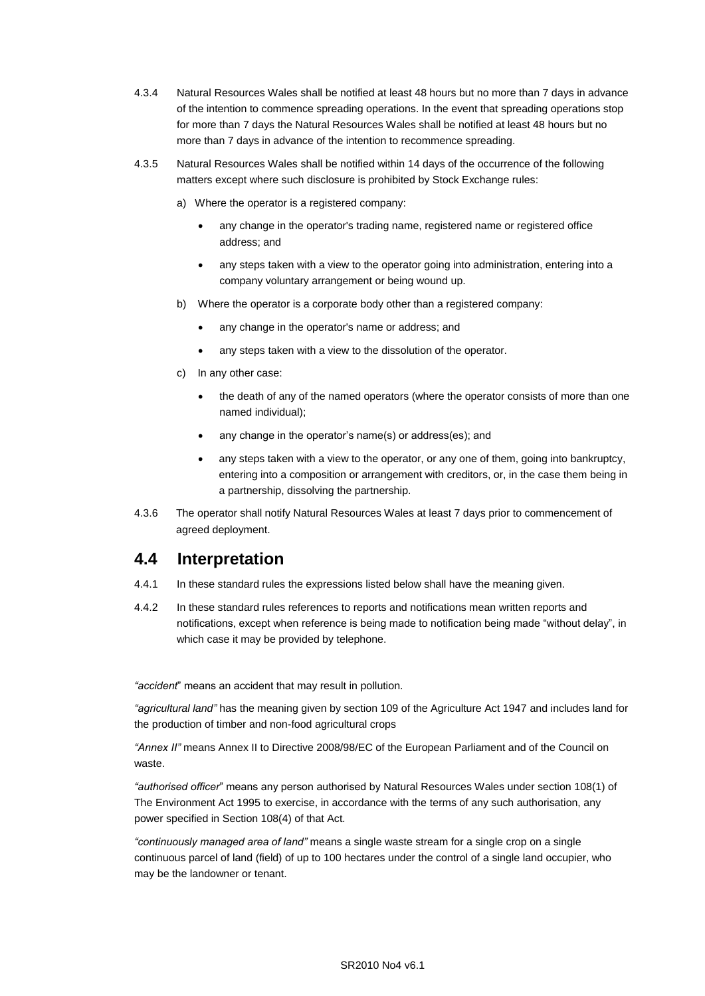- 4.3.4 Natural Resources Wales shall be notified at least 48 hours but no more than 7 days in advance of the intention to commence spreading operations. In the event that spreading operations stop for more than 7 days the Natural Resources Wales shall be notified at least 48 hours but no more than 7 days in advance of the intention to recommence spreading.
- 4.3.5 Natural Resources Wales shall be notified within 14 days of the occurrence of the following matters except where such disclosure is prohibited by Stock Exchange rules:
	- a) Where the operator is a registered company:
		- any change in the operator's trading name, registered name or registered office address; and
		- any steps taken with a view to the operator going into administration, entering into a company voluntary arrangement or being wound up.
	- b) Where the operator is a corporate body other than a registered company:
		- any change in the operator's name or address; and
		- any steps taken with a view to the dissolution of the operator.
	- c) In any other case:
		- the death of any of the named operators (where the operator consists of more than one named individual);
		- any change in the operator's name(s) or address(es); and
		- any steps taken with a view to the operator, or any one of them, going into bankruptcy, entering into a composition or arrangement with creditors, or, in the case them being in a partnership, dissolving the partnership.
- 4.3.6 The operator shall notify Natural Resources Wales at least 7 days prior to commencement of agreed deployment.

### **4.4 Interpretation**

- 4.4.1 In these standard rules the expressions listed below shall have the meaning given.
- 4.4.2 In these standard rules references to reports and notifications mean written reports and notifications, except when reference is being made to notification being made "without delay", in which case it may be provided by telephone.

*"accident*" means an accident that may result in pollution.

*"agricultural land"* has the meaning given by section 109 of the Agriculture Act 1947 and includes land for the production of timber and non-food agricultural crops

*"Annex II"* means Annex II to Directive 2008/98/EC of the European Parliament and of the Council on waste.

*"authorised officer*" means any person authorised by Natural Resources Wales under section 108(1) of The Environment Act 1995 to exercise, in accordance with the terms of any such authorisation, any power specified in Section 108(4) of that Act*.*

*"continuously managed area of land"* means a single waste stream for a single crop on a single continuous parcel of land (field) of up to 100 hectares under the control of a single land occupier, who may be the landowner or tenant.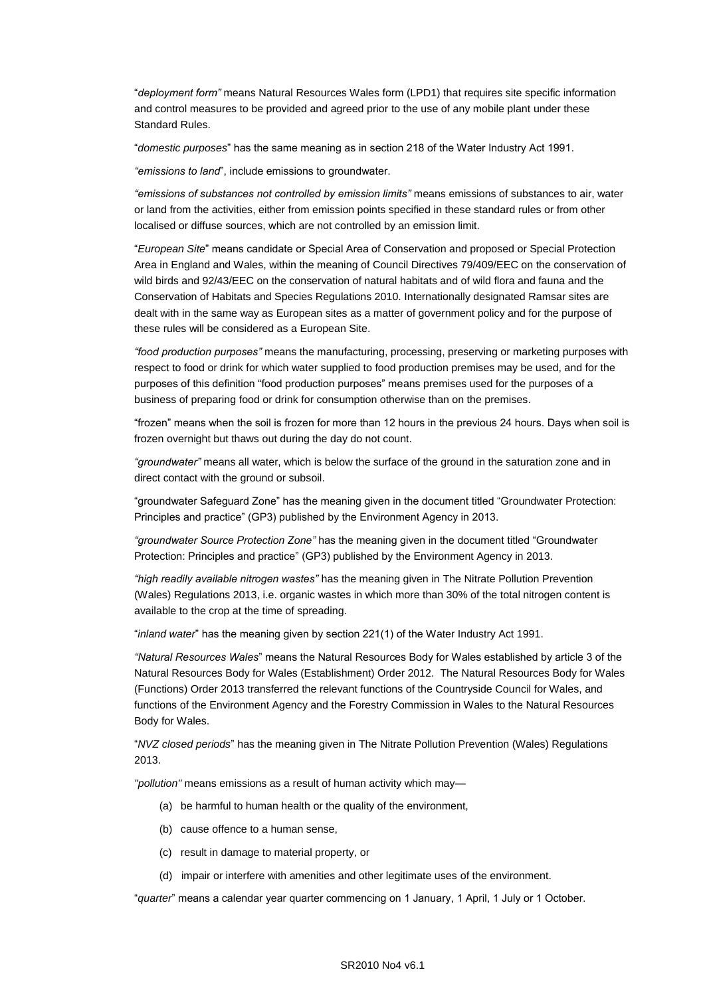"*deployment form"* means Natural Resources Wales form (LPD1) that requires site specific information and control measures to be provided and agreed prior to the use of any mobile plant under these Standard Rules.

"*domestic purposes*" has the same meaning as in section 218 of the Water Industry Act 1991.

*"emissions to land*", include emissions to groundwater.

*"emissions of substances not controlled by emission limits"* means emissions of substances to air, water or land from the activities, either from emission points specified in these standard rules or from other localised or diffuse sources, which are not controlled by an emission limit.

"*European Site*" means candidate or Special Area of Conservation and proposed or Special Protection Area in England and Wales, within the meaning of Council Directives 79/409/EEC on the conservation of wild birds and 92/43/EEC on the conservation of natural habitats and of wild flora and fauna and the Conservation of Habitats and Species Regulations 2010. Internationally designated Ramsar sites are dealt with in the same way as European sites as a matter of government policy and for the purpose of these rules will be considered as a European Site.

*"food production purposes"* means the manufacturing, processing, preserving or marketing purposes with respect to food or drink for which water supplied to food production premises may be used, and for the purposes of this definition "food production purposes" means premises used for the purposes of a business of preparing food or drink for consumption otherwise than on the premises.

"frozen" means when the soil is frozen for more than 12 hours in the previous 24 hours. Days when soil is frozen overnight but thaws out during the day do not count.

*"groundwater"* means all water, which is below the surface of the ground in the saturation zone and in direct contact with the ground or subsoil.

"groundwater Safeguard Zone" has the meaning given in the document titled "Groundwater Protection: Principles and practice" (GP3) published by the Environment Agency in 2013.

*"groundwater Source Protection Zone"* has the meaning given in the document titled "Groundwater Protection: Principles and practice" (GP3) published by the Environment Agency in 2013.

*"high readily available nitrogen wastes"* has the meaning given in The Nitrate Pollution Prevention (Wales) Regulations 2013, i.e. organic wastes in which more than 30% of the total nitrogen content is available to the crop at the time of spreading.

"*inland water*" has the meaning given by section 221(1) of the Water Industry Act 1991.

*"Natural Resources Wales*" means the Natural Resources Body for Wales established by article 3 of the Natural Resources Body for Wales (Establishment) Order 2012. The Natural Resources Body for Wales (Functions) Order 2013 transferred the relevant functions of the Countryside Council for Wales, and functions of the Environment Agency and the Forestry Commission in Wales to the Natural Resources Body for Wales.

"*NVZ closed periods*" has the meaning given in The Nitrate Pollution Prevention (Wales) Regulations 2013.

*"pollution"* means emissions as a result of human activity which may—

- (a) be harmful to human health or the quality of the environment,
- (b) cause offence to a human sense,
- (c) result in damage to material property, or
- (d) impair or interfere with amenities and other legitimate uses of the environment.

"*quarter*" means a calendar year quarter commencing on 1 January, 1 April, 1 July or 1 October.